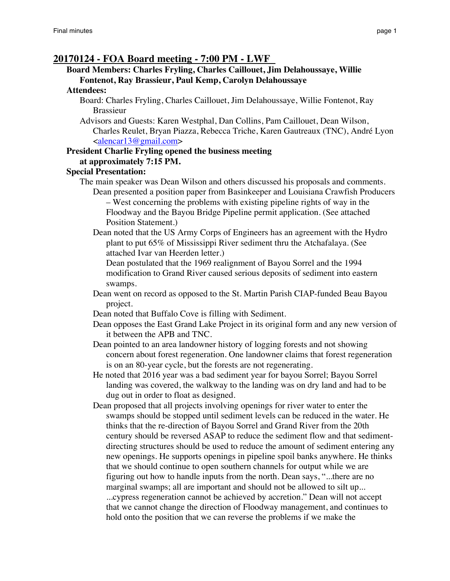# **20170124 - FOA Board meeting - 7:00 PM - LWF**

# **Board Members: Charles Fryling, Charles Caillouet, Jim Delahoussaye, Willie Fontenot, Ray Brassieur, Paul Kemp, Carolyn Delahoussaye**

#### **Attendees:**

- Board: Charles Fryling, Charles Caillouet, Jim Delahoussaye, Willie Fontenot, Ray Brassieur
- Advisors and Guests: Karen Westphal, Dan Collins, Pam Caillouet, Dean Wilson, Charles Reulet, Bryan Piazza, Rebecca Triche, Karen Gautreaux (TNC), André Lyon  $\leq$ alencar $13@$ gmail.com

#### **President Charlie Fryling opened the business meeting at approximately 7:15 PM.**

#### **Special Presentation:**

The main speaker was Dean Wilson and others discussed his proposals and comments. Dean presented a position paper from Basinkeeper and Louisiana Crawfish Producers

– West concerning the problems with existing pipeline rights of way in the Floodway and the Bayou Bridge Pipeline permit application. (See attached Position Statement.)

Dean noted that the US Army Corps of Engineers has an agreement with the Hydro plant to put 65% of Mississippi River sediment thru the Atchafalaya. (See attached Ivar van Heerden letter.)

Dean postulated that the 1969 realignment of Bayou Sorrel and the 1994 modification to Grand River caused serious deposits of sediment into eastern swamps.

- Dean went on record as opposed to the St. Martin Parish CIAP-funded Beau Bayou project.
- Dean noted that Buffalo Cove is filling with Sediment.
- Dean opposes the East Grand Lake Project in its original form and any new version of it between the APB and TNC.
- Dean pointed to an area landowner history of logging forests and not showing concern about forest regeneration. One landowner claims that forest regeneration is on an 80-year cycle, but the forests are not regenerating.

He noted that 2016 year was a bad sediment year for bayou Sorrel; Bayou Sorrel landing was covered, the walkway to the landing was on dry land and had to be dug out in order to float as designed.

Dean proposed that all projects involving openings for river water to enter the swamps should be stopped until sediment levels can be reduced in the water. He thinks that the re-direction of Bayou Sorrel and Grand River from the 20th century should be reversed ASAP to reduce the sediment flow and that sedimentdirecting structures should be used to reduce the amount of sediment entering any new openings. He supports openings in pipeline spoil banks anywhere. He thinks that we should continue to open southern channels for output while we are figuring out how to handle inputs from the north. Dean says, "...there are no marginal swamps; all are important and should not be allowed to silt up... ...cypress regeneration cannot be achieved by accretion." Dean will not accept that we cannot change the direction of Floodway management, and continues to hold onto the position that we can reverse the problems if we make the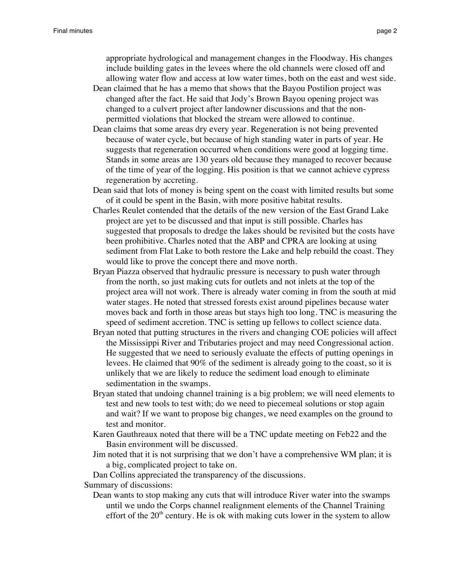appropriate hydrological and management changes in the Floodway. His changes include building gates in the levees where the old channels were closed off and allowing water flow and access at low water times, both on the east and west side.

- Dean claimed that he has a memo that shows that the Bayou Postilion project was changed after the fact. He said that Jody's Brown Bayou opening project was changed to a culvert project after landowner discussions and that the nonpermitted violations that blocked the stream were allowed to continue.
- Dean claims that some areas dry every year. Regeneration is not being prevented because of water cycle, but because of high standing water in parts of year. He suggests that regeneration occurred when conditions were good at logging time. Stands in some areas are 130 years old because they managed to recover because of the time of year of the logging. His position is that we cannot achieve cypress regeneration by accreting.
- Dean said that lots of money is being spent on the coast with limited results but some of it could be spent in the Basin, with more positive habitat results.
- Charles Reulet contended that the details of the new version of the East Grand Lake project are yet to be discussed and that input is still possible. Charles has suggested that proposals to dredge the lakes should be revisited but the costs have been prohibitive. Charles noted that the ABP and CPRA are looking at using sediment from Flat Lake to both restore the Lake and help rebuild the coast. They would like to prove the concept there and move north.
- Bryan Piazza observed that hydraulic pressure is necessary to push water through from the north, so just making cuts for outlets and not inlets at the top of the project area will not work. There is already water coming in from the south at mid water stages. He noted that stressed forests exist around pipelines because water moves back and forth in those areas but stays high too long. TNC is measuring the speed of sediment accretion. TNC is setting up fellows to collect science data.
- Bryan noted that putting structures in the rivers and changing COE policies will affect the Mississippi River and Tributaries project and may need Congressional action. He suggested that we need to seriously evaluate the effects of putting openings in levees. He claimed that 90% of the sediment is already going to the coast, so it is unlikely that we are likely to reduce the sediment load enough to eliminate sedimentation in the swamps.
- Bryan stated that undoing channel training is a big problem; we will need elements to test and new tools to test with; do we need to piecemeal solutions or stop again and wait? If we want to propose big changes, we need examples on the ground to test and monitor.
- Karen Gauthreaux noted that there will be a TNC update meeting on Feb22 and the Basin environment will be discussed.
- Jim noted that it is not surprising that we don't have a comprehensive WM plan; it is a big, complicated project to take on.

Dan Collins appreciated the transparency of the discussions.

Summary of discussions:

Dean wants to stop making any cuts that will introduce River water into the swamps until we undo the Corps channel realignment elements of the Channel Training effort of the  $20<sup>th</sup>$  century. He is ok with making cuts lower in the system to allow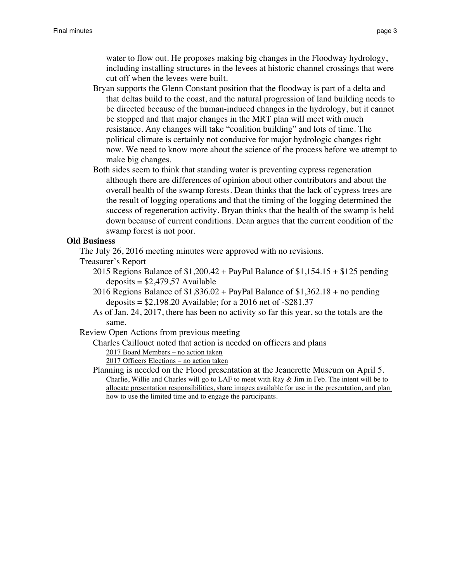water to flow out. He proposes making big changes in the Floodway hydrology, including installing structures in the levees at historic channel crossings that were cut off when the levees were built.

- Bryan supports the Glenn Constant position that the floodway is part of a delta and that deltas build to the coast, and the natural progression of land building needs to be directed because of the human-induced changes in the hydrology, but it cannot be stopped and that major changes in the MRT plan will meet with much resistance. Any changes will take "coalition building" and lots of time. The political climate is certainly not conducive for major hydrologic changes right now. We need to know more about the science of the process before we attempt to make big changes.
- Both sides seem to think that standing water is preventing cypress regeneration although there are differences of opinion about other contributors and about the overall health of the swamp forests. Dean thinks that the lack of cypress trees are the result of logging operations and that the timing of the logging determined the success of regeneration activity. Bryan thinks that the health of the swamp is held down because of current conditions. Dean argues that the current condition of the swamp forest is not poor.

# **Old Business**

The July 26, 2016 meeting minutes were approved with no revisions.

- Treasurer's Report
	- 2015 Regions Balance of \$1,200.42 + PayPal Balance of \$1,154.15 + \$125 pending  $deposits = $2,479,57$  Available
	- 2016 Regions Balance of \$1,836.02 + PayPal Balance of \$1,362.18 + no pending deposits  $= $2,198.20$  Available; for a 2016 net of  $- $281.37$
	- As of Jan. 24, 2017, there has been no activity so far this year, so the totals are the same.
- Review Open Actions from previous meeting
	- Charles Caillouet noted that action is needed on officers and plans
		- 2017 Board Members no action taken

2017 Officers Elections – no action taken

Planning is needed on the Flood presentation at the Jeanerette Museum on April 5. Charlie, Willie and Charles will go to LAF to meet with Ray & Jim in Feb. The intent will be to allocate presentation responsibilities, share images available for use in the presentation, and plan how to use the limited time and to engage the participants.